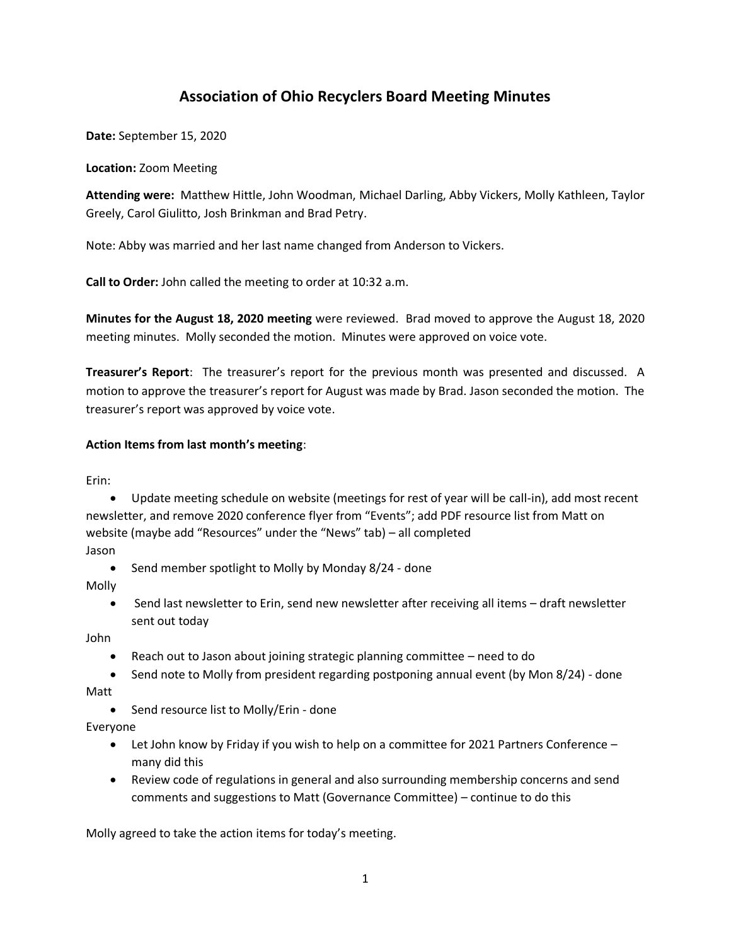# **Association of Ohio Recyclers Board Meeting Minutes**

**Date:** September 15, 2020

**Location:** Zoom Meeting

**Attending were:** Matthew Hittle, John Woodman, Michael Darling, Abby Vickers, Molly Kathleen, Taylor Greely, Carol Giulitto, Josh Brinkman and Brad Petry.

Note: Abby was married and her last name changed from Anderson to Vickers.

**Call to Order:** John called the meeting to order at 10:32 a.m.

**Minutes for the August 18, 2020 meeting** were reviewed. Brad moved to approve the August 18, 2020 meeting minutes. Molly seconded the motion. Minutes were approved on voice vote.

**Treasurer's Report**: The treasurer's report for the previous month was presented and discussed. A motion to approve the treasurer's report for August was made by Brad. Jason seconded the motion. The treasurer's report was approved by voice vote.

### **Action Items from last month's meeting**:

Erin:

• Update meeting schedule on website (meetings for rest of year will be call-in), add most recent newsletter, and remove 2020 conference flyer from "Events"; add PDF resource list from Matt on website (maybe add "Resources" under the "News" tab) – all completed

Jason

• Send member spotlight to Molly by Monday 8/24 - done

Molly

• Send last newsletter to Erin, send new newsletter after receiving all items – draft newsletter sent out today

John

- Reach out to Jason about joining strategic planning committee need to do
- Send note to Molly from president regarding postponing annual event (by Mon 8/24) done Matt
	- Send resource list to Molly/Erin done

Everyone

- Let John know by Friday if you wish to help on a committee for 2021 Partners Conference many did this
- Review code of regulations in general and also surrounding membership concerns and send comments and suggestions to Matt (Governance Committee) – continue to do this

Molly agreed to take the action items for today's meeting.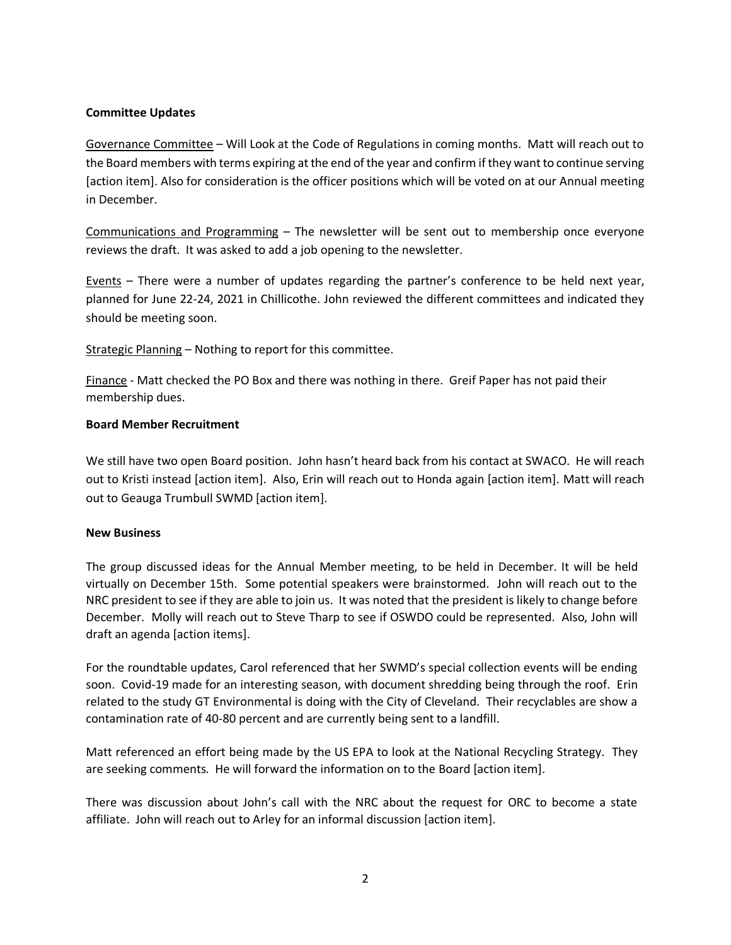### **Committee Updates**

Governance Committee – Will Look at the Code of Regulations in coming months. Matt will reach out to the Board members with terms expiring at the end of the year and confirm if they want to continue serving [action item]. Also for consideration is the officer positions which will be voted on at our Annual meeting in December.

Communications and Programming – The newsletter will be sent out to membership once everyone reviews the draft. It was asked to add a job opening to the newsletter.

Events – There were a number of updates regarding the partner's conference to be held next year, planned for June 22-24, 2021 in Chillicothe. John reviewed the different committees and indicated they should be meeting soon.

Strategic Planning – Nothing to report for this committee.

Finance - Matt checked the PO Box and there was nothing in there. Greif Paper has not paid their membership dues.

### **Board Member Recruitment**

We still have two open Board position. John hasn't heard back from his contact at SWACO. He will reach out to Kristi instead [action item]. Also, Erin will reach out to Honda again [action item]. Matt will reach out to Geauga Trumbull SWMD [action item].

### **New Business**

The group discussed ideas for the Annual Member meeting, to be held in December. It will be held virtually on December 15th. Some potential speakers were brainstormed. John will reach out to the NRC president to see if they are able to join us. It was noted that the president is likely to change before December. Molly will reach out to Steve Tharp to see if OSWDO could be represented. Also, John will draft an agenda [action items].

For the roundtable updates, Carol referenced that her SWMD's special collection events will be ending soon. Covid-19 made for an interesting season, with document shredding being through the roof. Erin related to the study GT Environmental is doing with the City of Cleveland. Their recyclables are show a contamination rate of 40-80 percent and are currently being sent to a landfill.

Matt referenced an effort being made by the US EPA to look at the National Recycling Strategy. They are seeking comments. He will forward the information on to the Board [action item].

There was discussion about John's call with the NRC about the request for ORC to become a state affiliate. John will reach out to Arley for an informal discussion [action item].